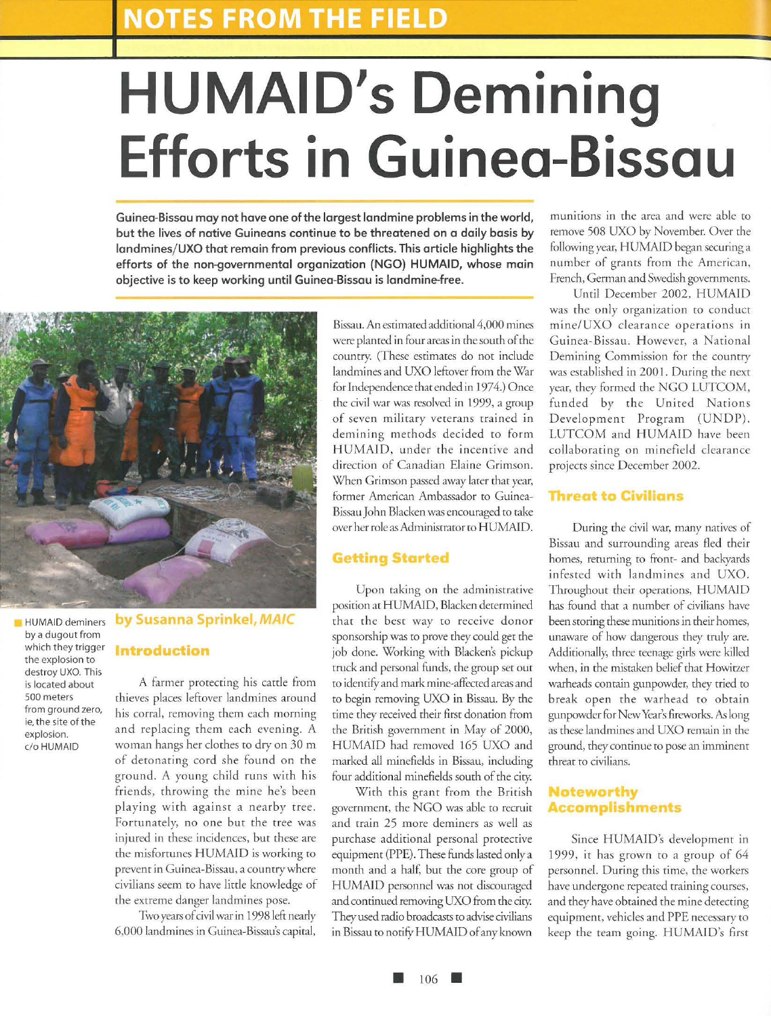# **HUMAID's Demining Efforts in Guinea-Bissau**

**Guinea-Bissau may not have one of the largest landmine problems in the world, but the lives of native Guineans continue to be threatened on a daily basis by**  landmines/UXO that remain from previous conflicts. This article highlights the **efforts of the non-governmental organization (NGO) HUMAID, whose main objective is to keep working until Guinea-Bissau is landmine-free.** 



HUMAID deminers by a dugout from which they trigger the explosion to destroy UXO. This is located about 500 meters from ground zero, ie, the site of the explosion. c/o HUMAID

# **by Susanna Sprinkel, MAIC Introduction**

A farmer protecting his cattle from thieves places leftover landmines around his corral, removing them each morning and replacing them each evening. A woman hangs her clothes to dry on 30 m of deronaring cord she found on rhe ground. A young child runs with his friends, throwing the mine he's been playing with against a nearby tree. Forrunarely, no one but the tree was injured in these incidences, but these are the misfortunes HUMAID is working to prevent in Guinea-Bissau, a country where civilians seem to have little knowledge of the extreme danger landmines pose.

Two years of civil war in 1998 left nearly 6,000 landmines in Guinea-Bissau's capital,

Bissau. An estimated additional 4,000 mines were planted in four areas in the south of the counrry. (These estimates do not include landmines and UXO leftover from the War for Independence that ended in 1974.) Once the civil war was resolved in 1999, a group of seven military veterans trained in demining methods decided ro form HUMAID, under the incentive and direction of Canadian Elaine Crimson. When Crimson passed away larer that year, former American Ambassador to Guinea-Bissau John Blacken was encouraged to rake over her role as Administrator to HUMAID.

#### **Getting Started**

Upon raking on rhe administrative position at HUMAID, Blacken determined that the best way to receive donor sponsorship was to prove they could get the job done. Working with Blacken's pickup truck and personal funds, the group set out to identify and mark mine-affected areas and to begin removing UXO in Bissau. By the rime they received their first donation from the British government in May of 2000, HUMAJD had removed 165 UXO and marked all minefields in Bissau, including four additional minefields south of the city.

With this grant from the British government, the NGO was able to recruit and train 25 more deminers as well as purchase additional personal protective equipment (PPE). These funds lasted only a monrh and a half, bur the core group of HUMAJD personnel was nor discouraged and continued removing UXO from the city. They used radio broadcasts to advise civilians in Bissau to notify HUMAID of any known

munitions in the area and were able to remove 508 UXO by November. Over the following year, HUMAJD began securing a number of grants from the American, French, German and Swedish governmems.

Until December 2002, HUMAID was the only organization to conduct mine/UXO clearance operations in Guinea-Bissau. However, a National Demining Commission for the coumry was established in 2001. During the next year, they formed the NGO LUTCOM, funded by the United Nations Development Program (UNDP). LUTCOM and HUMAID have been collaborating on minefield clearance projects since December 2002.

#### **Threat to Civilians**

During the civil war, many natives of Bissau and surrounding areas fled their homes, returning to front- and backyards infested with landmines and UXO. Throughout their operations, HUMAJD has found that a number of civilians have been storing these munitions in their homes, unaware of how dangerous they truly are. Additionally, three teenage girls were killed when, in the mistaken belief that Howitzer warheads contain gunpowder, they tried to break open rhe warhead ro obtain gunpowder for New Year's fireworks. As long as these landmines and UXO remain in the ground, they continue to pose an imminent threat ro civilians.

#### **oteworthy ccom lishments**

Since HUMAID's development in 1999, it has grown to a group of 64 personnel. During this time, the workers have undergone repeated rraining courses, and they have obtained the mine detecting equipment, vehicles and PPE necessary to keep the ream going. HUMAJD's first